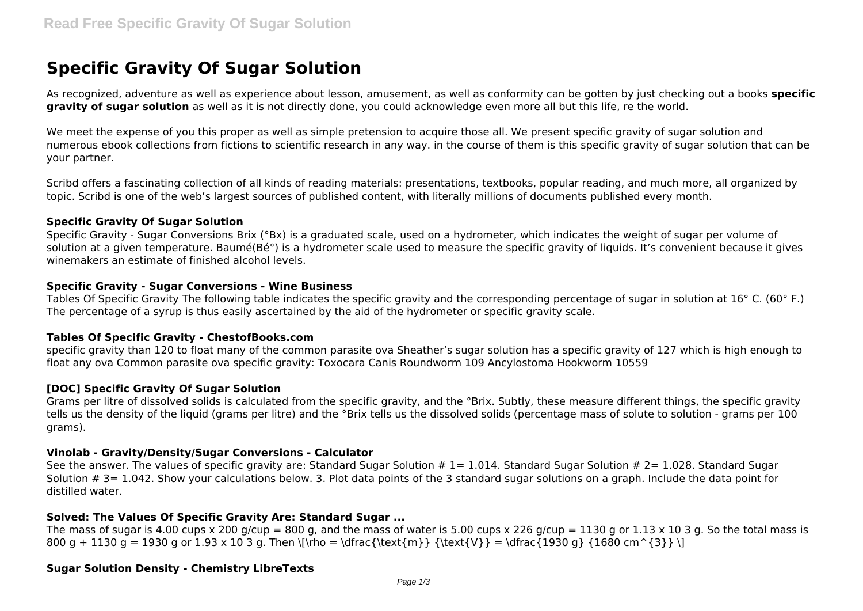# **Specific Gravity Of Sugar Solution**

As recognized, adventure as well as experience about lesson, amusement, as well as conformity can be gotten by just checking out a books **specific gravity of sugar solution** as well as it is not directly done, you could acknowledge even more all but this life, re the world.

We meet the expense of you this proper as well as simple pretension to acquire those all. We present specific gravity of sugar solution and numerous ebook collections from fictions to scientific research in any way. in the course of them is this specific gravity of sugar solution that can be your partner.

Scribd offers a fascinating collection of all kinds of reading materials: presentations, textbooks, popular reading, and much more, all organized by topic. Scribd is one of the web's largest sources of published content, with literally millions of documents published every month.

### **Specific Gravity Of Sugar Solution**

Specific Gravity - Sugar Conversions Brix (°Bx) is a graduated scale, used on a hydrometer, which indicates the weight of sugar per volume of solution at a given temperature. Baumé(Bé°) is a hydrometer scale used to measure the specific gravity of liquids. It's convenient because it gives winemakers an estimate of finished alcohol levels.

### **Specific Gravity - Sugar Conversions - Wine Business**

Tables Of Specific Gravity The following table indicates the specific gravity and the corresponding percentage of sugar in solution at 16° C. (60° F.) The percentage of a syrup is thus easily ascertained by the aid of the hydrometer or specific gravity scale.

# **Tables Of Specific Gravity - ChestofBooks.com**

specific gravity than 120 to float many of the common parasite ova Sheather's sugar solution has a specific gravity of 127 which is high enough to float any ova Common parasite ova specific gravity: Toxocara Canis Roundworm 109 Ancylostoma Hookworm 10559

# **[DOC] Specific Gravity Of Sugar Solution**

Grams per litre of dissolved solids is calculated from the specific gravity, and the °Brix. Subtly, these measure different things, the specific gravity tells us the density of the liquid (grams per litre) and the °Brix tells us the dissolved solids (percentage mass of solute to solution - grams per 100 grams).

### **Vinolab - Gravity/Density/Sugar Conversions - Calculator**

See the answer. The values of specific gravity are: Standard Sugar Solution  $# 1 = 1.014$ . Standard Sugar Solution  $# 2 = 1.028$ . Standard Sugar Solution # 3= 1.042. Show your calculations below. 3. Plot data points of the 3 standard sugar solutions on a graph. Include the data point for distilled water.

## **Solved: The Values Of Specific Gravity Are: Standard Sugar ...**

The mass of sugar is 4.00 cups x 200 g/cup = 800 g, and the mass of water is 5.00 cups x 226 g/cup = 1130 g or 1.13 x 10 3 g. So the total mass is 800 g + 1130 g = 1930 g or 1.93 x 10 3 g. Then \[\rho = \dfrac{\text{m}} {\text{V}} = \dfrac{1930 g} {1680 cm^{3}} \]

# **Sugar Solution Density - Chemistry LibreTexts**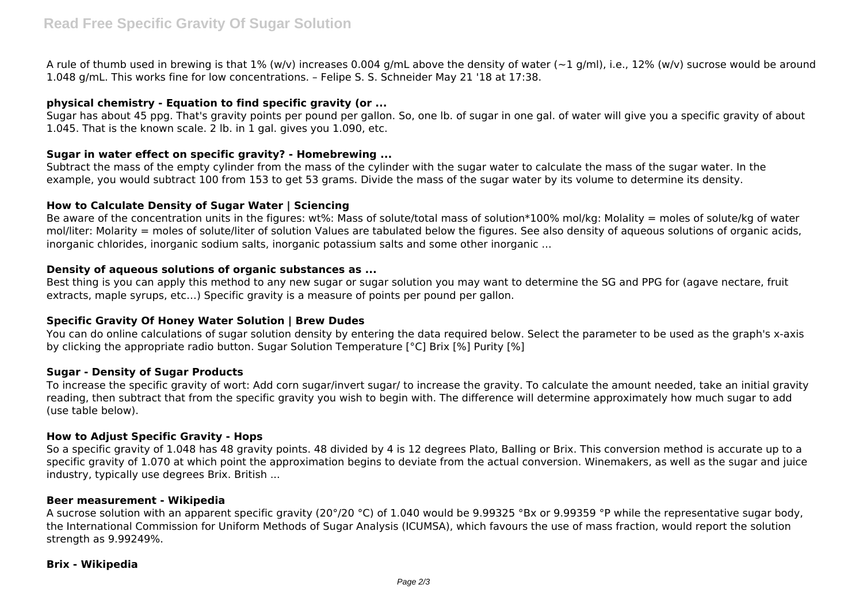A rule of thumb used in brewing is that 1% (w/v) increases 0.004 g/mL above the density of water ( $\sim$ 1 g/ml), i.e., 12% (w/v) sucrose would be around 1.048 g/mL. This works fine for low concentrations. – Felipe S. S. Schneider May 21 '18 at 17:38.

# **physical chemistry - Equation to find specific gravity (or ...**

Sugar has about 45 ppg. That's gravity points per pound per gallon. So, one lb. of sugar in one gal. of water will give you a specific gravity of about 1.045. That is the known scale. 2 lb. in 1 gal. gives you 1.090, etc.

## **Sugar in water effect on specific gravity? - Homebrewing ...**

Subtract the mass of the empty cylinder from the mass of the cylinder with the sugar water to calculate the mass of the sugar water. In the example, you would subtract 100 from 153 to get 53 grams. Divide the mass of the sugar water by its volume to determine its density.

### **How to Calculate Density of Sugar Water | Sciencing**

Be aware of the concentration units in the figures: wt%: Mass of solute/total mass of solution\*100% mol/kg: Molality = moles of solute/kg of water mol/liter: Molarity = moles of solute/liter of solution Values are tabulated below the figures. See also density of aqueous solutions of organic acids, inorganic chlorides, inorganic sodium salts, inorganic potassium salts and some other inorganic ...

## **Density of aqueous solutions of organic substances as ...**

Best thing is you can apply this method to any new sugar or sugar solution you may want to determine the SG and PPG for (agave nectare, fruit extracts, maple syrups, etc…) Specific gravity is a measure of points per pound per gallon.

# **Specific Gravity Of Honey Water Solution | Brew Dudes**

You can do online calculations of sugar solution density by entering the data required below. Select the parameter to be used as the graph's x-axis by clicking the appropriate radio button. Sugar Solution Temperature [°C] Brix [%] Purity [%]

## **Sugar - Density of Sugar Products**

To increase the specific gravity of wort: Add corn sugar/invert sugar/ to increase the gravity. To calculate the amount needed, take an initial gravity reading, then subtract that from the specific gravity you wish to begin with. The difference will determine approximately how much sugar to add (use table below).

### **How to Adjust Specific Gravity - Hops**

So a specific gravity of 1.048 has 48 gravity points. 48 divided by 4 is 12 degrees Plato, Balling or Brix. This conversion method is accurate up to a specific gravity of 1.070 at which point the approximation begins to deviate from the actual conversion. Winemakers, as well as the sugar and juice industry, typically use degrees Brix. British ...

#### **Beer measurement - Wikipedia**

A sucrose solution with an apparent specific gravity (20°/20 °C) of 1.040 would be 9.99325 °Bx or 9.99359 °P while the representative sugar body, the International Commission for Uniform Methods of Sugar Analysis (ICUMSA), which favours the use of mass fraction, would report the solution strength as 9.99249%.

#### **Brix - Wikipedia**